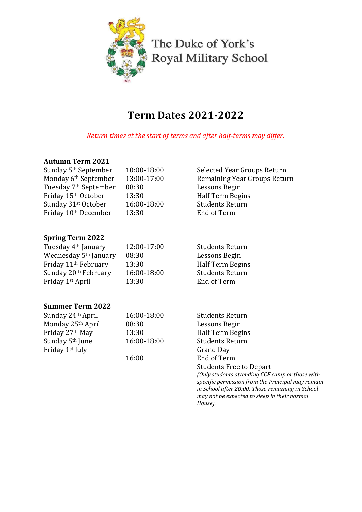

The Duke of York's Royal Military School

# **Term Dates 2021-2022**

*Return times at the start of terms and after half-terms may differ.* 

# **Autumn Term 2021**

| Sunday 5 <sup>th</sup> September<br>Monday 6th September<br>Tuesday 7 <sup>th</sup> September<br>Friday 15th October<br>Sunday 31st October<br>Friday 10th December | 10:00-18:00<br>13:00-17:00<br>08:30<br>13:30<br>16:00-18:00<br>13:30 | Selected Year Groups Return<br>Remaining Year Groups Return<br>Lessons Begin<br>Half Term Begins<br><b>Students Return</b><br>End of Term |
|---------------------------------------------------------------------------------------------------------------------------------------------------------------------|----------------------------------------------------------------------|-------------------------------------------------------------------------------------------------------------------------------------------|
| <b>Spring Term 2022</b>                                                                                                                                             |                                                                      |                                                                                                                                           |
| Tuesday 4 <sup>th</sup> January                                                                                                                                     | 12:00-17:00                                                          | <b>Students Return</b>                                                                                                                    |
| Wednesday 5 <sup>th</sup> January                                                                                                                                   | 08:30                                                                | Lessons Begin                                                                                                                             |
| Friday 11 <sup>th</sup> February                                                                                                                                    | 13:30                                                                | Half Term Begins                                                                                                                          |
| Sunday 20th February                                                                                                                                                | 16:00-18:00                                                          | <b>Students Return</b>                                                                                                                    |
| Friday 1st April                                                                                                                                                    | 13:30                                                                | End of Term                                                                                                                               |
| <b>Summer Term 2022</b>                                                                                                                                             |                                                                      |                                                                                                                                           |
| Sunday 24th April                                                                                                                                                   | 16:00-18:00                                                          | <b>Students Return</b>                                                                                                                    |
| Monday 25th April                                                                                                                                                   | 08:30                                                                | Lessons Begin                                                                                                                             |
| Friday 27th May                                                                                                                                                     | 13:30                                                                | Half Term Begins                                                                                                                          |
| Sunday 5 <sup>th</sup> June                                                                                                                                         | 16:00-18:00                                                          | <b>Students Return</b>                                                                                                                    |
| Friday 1st July                                                                                                                                                     |                                                                      | <b>Grand Day</b>                                                                                                                          |
|                                                                                                                                                                     | 16:00                                                                | End of Term                                                                                                                               |
|                                                                                                                                                                     |                                                                      | <b>Students Free to Depart</b>                                                                                                            |
|                                                                                                                                                                     |                                                                      | (Only students attending CCF camp or those with                                                                                           |
|                                                                                                                                                                     |                                                                      | specific permission from the Principal may remain<br>in School after 20:00. Those remaining in School                                     |
|                                                                                                                                                                     |                                                                      | may not be expected to sleep in their normal                                                                                              |
|                                                                                                                                                                     |                                                                      | House).                                                                                                                                   |